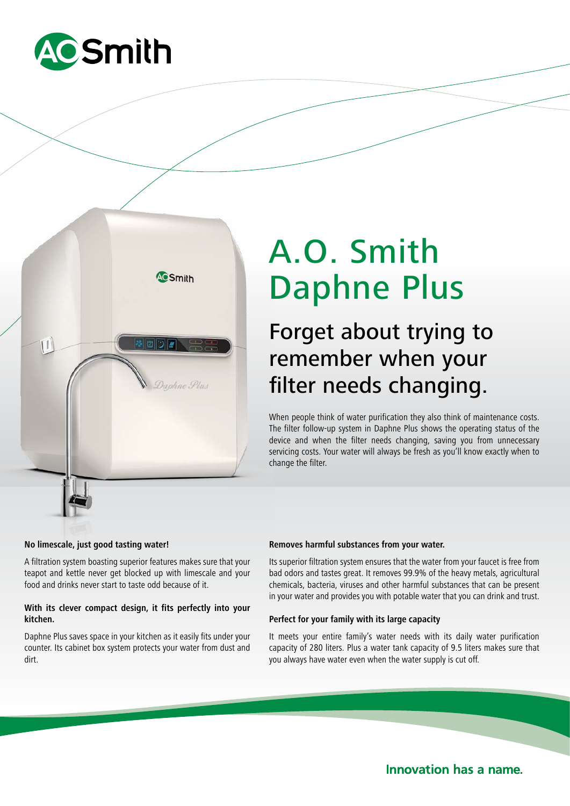



# A.O. Smith Daphne Plus

## Forget about trying to remember when your filter needs changing.

When people think of water purification they also think of maintenance costs. The filter follow-up system in Daphne Plus shows the operating status of the device and when the filter needs changing, saving you from unnecessary servicing costs. Your water will always be fresh as you'll know exactly when to change the filter.

#### **No limescale, just good tasting water!**

A filtration system boasting superior features makes sure that your teapot and kettle never get blocked up with limescale and your food and drinks never start to taste odd because of it.

#### **With its clever compact design, it fits perfectly into your kitchen.**

Daphne Plus saves space in your kitchen as it easily fits under your counter. Its cabinet box system protects your water from dust and dirt.

#### **Removes harmful substances from your water.**

Its superior filtration system ensures that the water from your faucet is free from bad odors and tastes great. It removes 99.9% of the heavy metals, agricultural chemicals, bacteria, viruses and other harmful substances that can be present in your water and provides you with potable water that you can drink and trust.

#### **Perfect for your family with its large capacity**

It meets your entire family's water needs with its daily water purification capacity of 280 liters. Plus a water tank capacity of 9.5 liters makes sure that you always have water even when the water supply is cut off.

**Innovation has a name.**